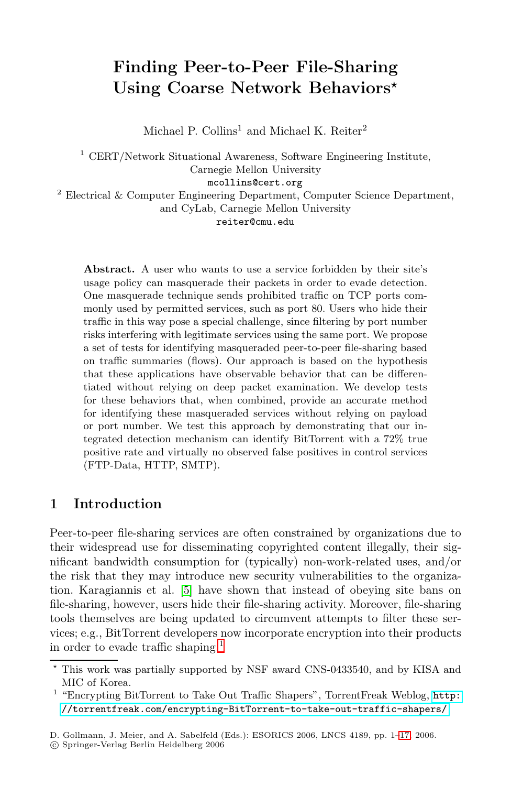# **Finding Peer-to-Peer File-Sharing Using Coarse Network Behaviors***-*

Michael P. Collins<sup>1</sup> and Michael K. Reiter<sup>2</sup>

 $^{\rm 1}$  CERT/Network Situational Awareness, Software Engineering Institute, Carnegie Mellon University mcollins@cert.org <sup>2</sup> Electrical & Computer Engineering Department, Computer Science Department,

and CyLab, Carnegie Mellon University

#### reiter@cmu.edu

**Abstract.** A user who wants to use a service forbidden by their site's usage policy can masquerade their packets in order to evade detection. One masquerade technique sends prohibited traffic on TCP ports commonly used by permitted services, such as port 80. Users who hide their traffic in this way pose a special challenge, since filtering by port number risks interfering with legitimate services using the same port. We propose a set of tests for identifying masqueraded peer-to-peer file-sharing based on traffic summaries (flows). Our approach is based on the hypothesis that these applications have observable behavior that can be differentiated without relying on deep packet examination. We develop tests for these behaviors that, when combined, provide an accurate method for identifying these masqueraded services without relying on payload or port number. We test this approach by demonstrating that our integrated detection mechanism can identify BitTorrent with a 72% true positive rate and virtually no observed false positives in control services (FTP-Data, HTTP, SMTP).

# <span id="page-0-1"></span>**1 Introduction**

Peer-to-peer file-sharing services are often constrained by organizations due to their widespread use for disseminating copyrighted content illegally, their significant bandwidth consumption for (typically) non-work-related uses, and/or the risk that they may introduce new security vulnerabilities to the organization. Karagiannis et al. [\[5\]](#page-15-0) have shown that instead of obeying site bans on file-sharing, however, users hide their file-sharing activity. Moreover, file-sharing tools themselves are being updated to circumvent attempts to filter these services; e.g., BitTorrent developers now incorporate encryption into their products in order to evade traffic shaping.<sup>[1](#page-0-0)</sup>

<sup>-</sup> This work was partially supported by NSF award CNS-0433540, and by KISA and MIC of Korea.

<span id="page-0-0"></span> $^{\rm 1}$  "Encrypting BitTorrent to Take Out Traffic Shapers", TorrentFreak Weblog,  ${\tt http://www.1666660}$  ${\tt http://www.1666660}$  ${\tt http://www.1666660}$ [//torrentfreak.com/encrypting-BitTorrent-to-take-out-traffic-shapers/](http://torrentfreak.com/encrypting-BitTorrent-to-take-out-traffic-shapers/)

D. Gollmann, J. Meier, and A. Sabelfeld (Eds.): ESORICS 2006, LNCS 4189, pp. 1[–17,](#page-14-0) 2006.

<sup>-</sup>c Springer-Verlag Berlin Heidelberg 2006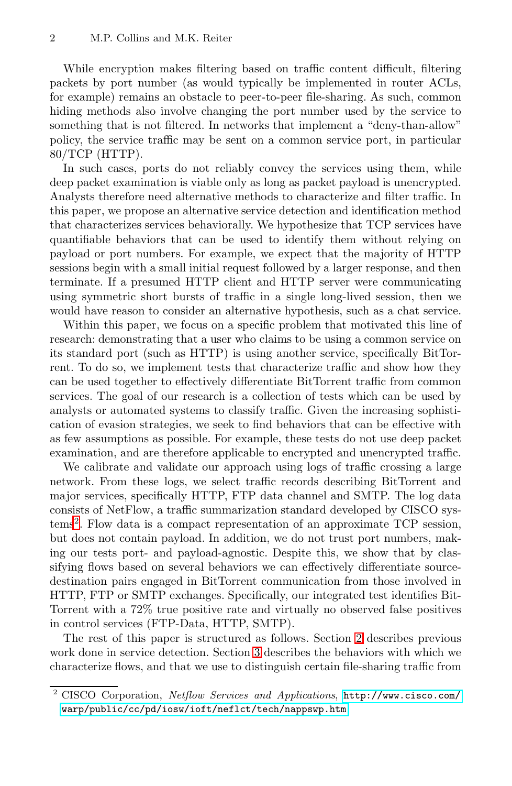While encryption makes filtering based on traffic content difficult, filtering packets by port number (as would typically be implemented in router ACLs, for example) remains an obstacle to peer-to-peer file-sharing. As such, common hiding methods also involve changing the port number used by the service to something that is not filtered. In networks that implement a "deny-than-allow" policy, the service traffic may be sent on a common service port, in particular 80/TCP (HTTP).

In such cases, ports do not reliably convey the services using them, while deep packet examination is viable only as long as packet payload is unencrypted. Analysts therefore need alternative methods to characterize and filter traffic. In this paper, we propose an alternative service detection and identification method that characterizes services behaviorally. We hypothesize that TCP services have quantifiable behaviors that can be used to identify them without relying on payload or port numbers. For example, we expect that the majority of HTTP sessions begin with a small initial request followed by a larger response, and then terminate. If a presumed HTTP client and HTTP server were communicating using symmetric short bursts of traffic in a single long-lived session, then we would have reason to consider an alternative hypothesis, such as a chat service.

Within this paper, we focus on a specific problem that motivated this line of research: demonstrating that a user who claims to be using a common service on its standard port (such as HTTP) is using another service, specifically BitTorrent. To do so, we implement tests that characterize traffic and show how they can be used together to effectively differentiate BitTorrent traffic from common services. The goal of our research is a collection of tests which can be used by analysts or automated systems to classify traffic. Given the increasing sophistication of evasion strategies, we seek to find behaviors that can be effective with as few assumptions as possible. For example, these tests do not use deep packet examination, and are therefore applicable to encrypted and unencrypted traffic.

We calibrate and validate our approach using logs of traffic crossing a large network. From these logs, we select traffic records describing BitTorrent and major services, specifically HTTP, FTP data channel and SMTP. The log data consists of NetFlow, a traffic summarization standard developed by CISCO systems[2](#page-1-0). Flow data is a compact representation of an approximate TCP session, but does not contain payload. In addition, we do not trust port numbers, making our tests port- and payload-agnostic. Despite this, we show that by classifying flows based on several behaviors we can effectively differentiate sourcedestination pairs engaged in BitTorrent communication from those involved in HTTP, FTP or SMTP exchanges. Specifically, our integrated test identifies Bit-Torrent with a 72% true positive rate and virtually no observed false positives in control services (FTP-Data, HTTP, SMTP).

The rest of this paper is structured as follows. Section [2](#page-2-0) describes previous work done in service detection. Section [3](#page-2-1) describes the behaviors with which we characterize flows, and that we use to distinguish certain file-sharing traffic from

<span id="page-1-0"></span><sup>2</sup> CISCO Corporation, Netflow Services and Applications, [http://www.cisco.com/](http://www.cisco.com/warp/public/cc/pd/iosw/ioft/neflct/tech/nappswp.htm) [warp/public/cc/pd/iosw/ioft/neflct/tech/nappswp.htm](http://www.cisco.com/warp/public/cc/pd/iosw/ioft/neflct/tech/nappswp.htm)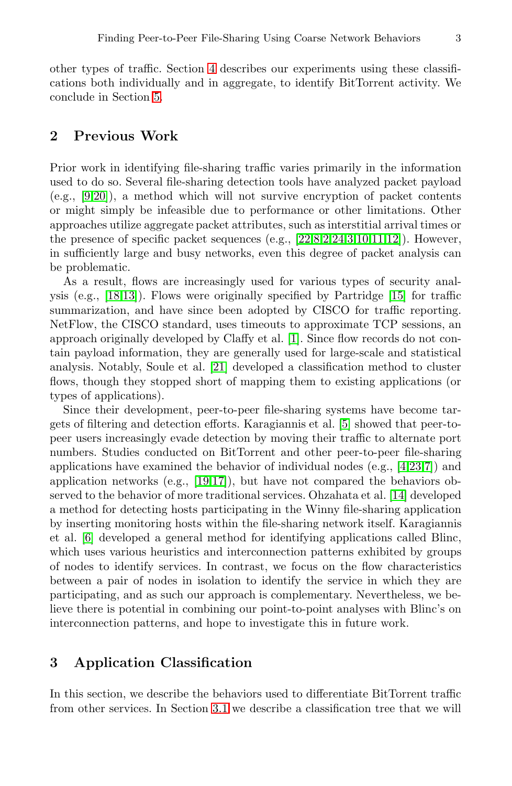other types of traffic. Section [4](#page-8-0) describes our experiments using these classifications both individually and in aggregate, to identify BitTorrent activity. We conclude in Section [5.](#page-14-1)

# <span id="page-2-0"></span>**2 Previous Work**

Prior work in identifying file-sharing traffic varies primarily in the information used to do so. Several file-sharing detection tools have analyzed packet payload (e.g., [\[9,](#page-15-1)[20\]](#page-16-0)), a method which will not survive encryption of packet contents or might simply be infeasible due to performance or other limitations. Other approaches utilize aggregate packet attributes, such as interstitial arrival times or the presence of specific packet sequences (e.g.,  $[22,82,24,3,10,11,12]$  $[22,82,24,3,10,11,12]$  $[22,82,24,3,10,11,12]$  $[22,82,24,3,10,11,12]$  $[22,82,24,3,10,11,12]$  $[22,82,24,3,10,11,12]$  $[22,82,24,3,10,11,12]$  $[22,82,24,3,10,11,12]$  $[22,82,24,3,10,11,12]$ ). However, in sufficiently large and busy networks, even this degree of packet analysis can be problematic.

As a result, flows are increasingly used for various types of security analysis (e.g., [\[18,](#page-15-7)[13\]](#page-15-8)). Flows were originally specified by Partridge [\[15\]](#page-15-9) for traffic summarization, and have since been adopted by CISCO for traffic reporting. NetFlow, the CISCO standard, uses timeouts to approximate TCP sessions, an approach originally developed by Claffy et al. [\[1\]](#page-14-3). Since flow records do not contain payload information, they are generally used for large-scale and statistical analysis. Notably, Soule et al. [\[21\]](#page-16-3) developed a classification method to cluster flows, though they stopped short of mapping them to existing applications (or types of applications).

Since their development, peer-to-peer file-sharing systems have become targets of filtering and detection efforts. Karagiannis et al. [\[5\]](#page-15-0) showed that peer-topeer users increasingly evade detection by moving their traffic to alternate port numbers. Studies conducted on BitTorrent and other peer-to-peer file-sharing applications have examined the behavior of individual nodes (e.g., [\[4](#page-15-10)[,23,](#page-16-4)[7\]](#page-15-11)) and application networks (e.g.,  $[19,17]$  $[19,17]$ ), but have not compared the behaviors observed to the behavior of more traditional services. Ohzahata et al. [\[14\]](#page-15-14) developed a method for detecting hosts participating in the Winny file-sharing application by inserting monitoring hosts within the file-sharing network itself. Karagiannis et al. [\[6\]](#page-15-15) developed a general method for identifying applications called Blinc, which uses various heuristics and interconnection patterns exhibited by groups of nodes to identify services. In contrast, we focus on the flow characteristics between a pair of nodes in isolation to identify the service in which they are participating, and as such our approach is complementary. Nevertheless, we believe there is potential in combining our point-to-point analyses with Blinc's on interconnection patterns, and hope to investigate this in future work.

## <span id="page-2-1"></span>**3 Application Classification**

In this section, we describe the behaviors used to differentiate BitTorrent traffic from other services. In Section [3.1](#page-3-0) we describe a classification tree that we will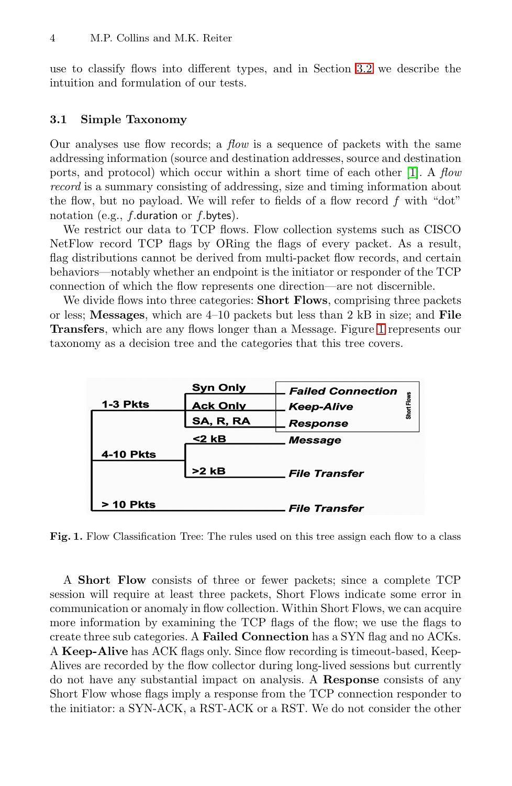use to classify flows into different types, and in Section [3.2](#page-4-0) we describe the intuition and formulation of our tests.

#### <span id="page-3-0"></span>**3.1 Simple Taxonomy**

Our analyses use flow records; a *flow* is a sequence of packets with the same addressing information (source and destination addresses, source and destination ports, and protocol) which occur within a short time of each other [\[1\]](#page-14-3). A flow record is a summary consisting of addressing, size and timing information about the flow, but no payload. We will refer to fields of a flow record  $f$  with "dot" notation (e.g.,  $f$ .duration or  $f$ .bytes).

We restrict our data to TCP flows. Flow collection systems such as CISCO NetFlow record TCP flags by ORing the flags of every packet. As a result, flag distributions cannot be derived from multi-packet flow records, and certain behaviors—notably whether an endpoint is the initiator or responder of the TCP connection of which the flow represents one direction—are not discernible.

We divide flows into three categories: **Short Flows**, comprising three packets or less; **Messages**, which are 4–10 packets but less than 2 kB in size; and **File Transfers**, which are any flows longer than a Message. Figure [1](#page-3-1) represents our taxonomy as a decision tree and the categories that this tree covers.



<span id="page-3-1"></span>Fig. 1. Flow Classification Tree: The rules used on this tree assign each flow to a class

A **Short Flow** consists of three or fewer packets; since a complete TCP session will require at least three packets, Short Flows indicate some error in communication or anomaly in flow collection. Within Short Flows, we can acquire more information by examining the TCP flags of the flow; we use the flags to create three sub categories. A **Failed Connection** has a SYN flag and no ACKs. A **Keep-Alive** has ACK flags only. Since flow recording is timeout-based, Keep-Alives are recorded by the flow collector during long-lived sessions but currently do not have any substantial impact on analysis. A **Response** consists of any Short Flow whose flags imply a response from the TCP connection responder to the initiator: a SYN-ACK, a RST-ACK or a RST. We do not consider the other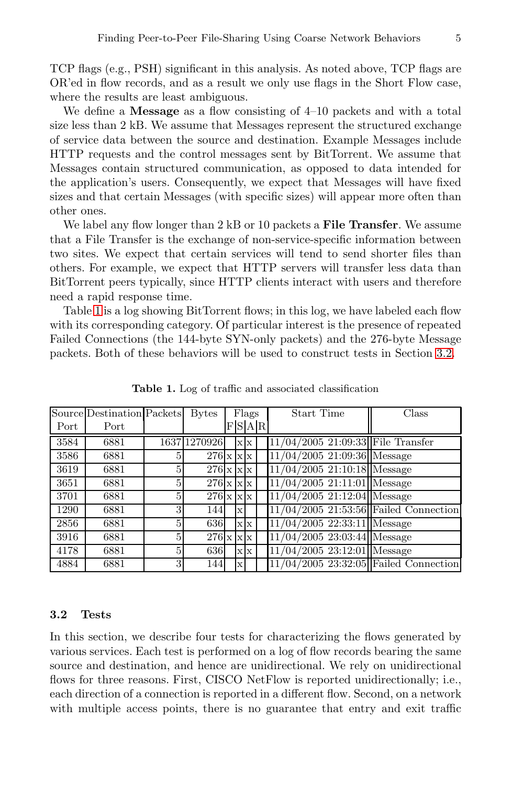TCP flags (e.g., PSH) significant in this analysis. As noted above, TCP flags are OR'ed in flow records, and as a result we only use flags in the Short Flow case, where the results are least ambiguous.

We define a **Message** as a flow consisting of 4–10 packets and with a total size less than 2 kB. We assume that Messages represent the structured exchange of service data between the source and destination. Example Messages include HTTP requests and the control messages sent by BitTorrent. We assume that Messages contain structured communication, as opposed to data intended for the application's users. Consequently, we expect that Messages will have fixed sizes and that certain Messages (with specific sizes) will appear more often than other ones.

We label any flow longer than 2 kB or 10 packets a **File Transfer**. We assume that a File Transfer is the exchange of non-service-specific information between two sites. We expect that certain services will tend to send shorter files than others. For example, we expect that HTTP servers will transfer less data than BitTorrent peers typically, since HTTP clients interact with users and therefore need a rapid response time.

Table [1](#page-4-1) is a log showing BitTorrent flows; in this log, we have labeled each flow with its corresponding category. Of particular interest is the presence of repeated Failed Connections (the 144-byte SYN-only packets) and the 276-byte Message packets. Both of these behaviors will be used to construct tests in Section [3.2.](#page-4-0)

|      | Source Destination Packets |              | <b>Bytes</b>            |                         | Flags   | Start Time                              | Class |
|------|----------------------------|--------------|-------------------------|-------------------------|---------|-----------------------------------------|-------|
| Port | Port                       |              |                         |                         | F S A R |                                         |       |
| 3584 | 6881                       |              | 1637 1270926            | $X$ $X$                 |         | 11/04/2005 21:09:33 File Transfer       |       |
| 3586 | 6881                       | 5            | $276 \times x \times x$ |                         |         | $11/04/2005$ 21:09:36 Message           |       |
| 3619 | 6881                       | 5            | $276 \times x \times x$ |                         |         | $11/04/2005$ 21:10:18 Message           |       |
| 3651 | 6881                       | $\mathbf{5}$ | $276 \times x \times x$ |                         |         | $11/04/2005$ 21:11:01 Message           |       |
| 3701 | 6881                       | 5            | $276 \times x \times x$ |                         |         | $11/04/2005$ 21:12:04 Message           |       |
| 1290 | 6881                       | 3            | 144                     | $\mathbf x$             |         | $11/04/2005$ 21:53:56 Failed Connection |       |
| 2856 | 6881                       | 5            | 636                     | $X$ $X$                 |         | $11/04/2005$ 22:33:11 Message           |       |
| 3916 | 6881                       | 5            | $276 \times x \times x$ |                         |         | $11/04/2005$ 23:03:44 Message           |       |
| 4178 | 6881                       | 5            | 636                     | $\mathbf{x} \mathbf{x}$ |         | $11/04/2005$ 23:12:01 Message           |       |
| 4884 | 6881                       | $\mathbf{3}$ | 144                     | $\mathbf x$             |         | $11/04/2005$ 23:32:05 Failed Connection |       |

<span id="page-4-1"></span>**Table 1.** Log of traffic and associated classification

#### <span id="page-4-0"></span>**3.2 Tests**

In this section, we describe four tests for characterizing the flows generated by various services. Each test is performed on a log of flow records bearing the same source and destination, and hence are unidirectional. We rely on unidirectional flows for three reasons. First, CISCO NetFlow is reported unidirectionally; i.e., each direction of a connection is reported in a different flow. Second, on a network with multiple access points, there is no guarantee that entry and exit traffic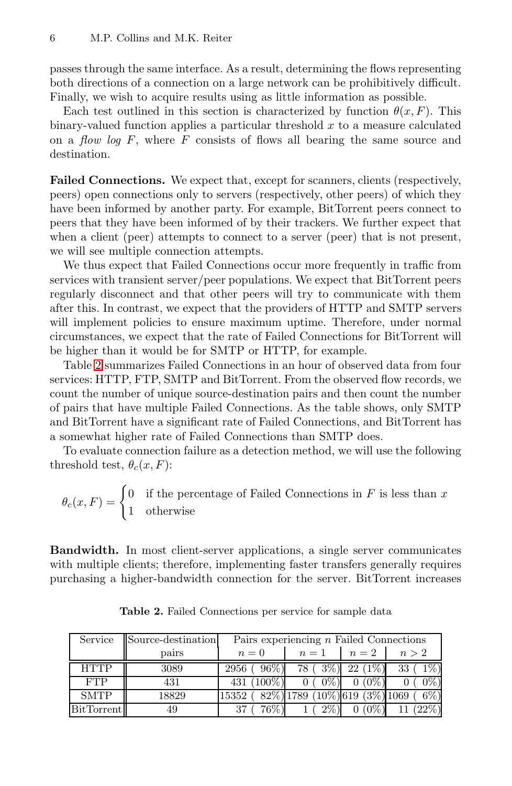passes through the same interface. As a result, determining the flows representing both directions of a connection on a large network can be prohibitively difficult. Finally, we wish to acquire results using as little information as possible.

Each test outlined in this section is characterized by function  $\theta(x, F)$ . This binary-valued function applies a particular threshold  $x$  to a measure calculated on a *flow log F*, where  $F$  consists of flows all bearing the same source and destination.

<span id="page-5-1"></span>**Failed Connections.** We expect that, except for scanners, clients (respectively, peers) open connections only to servers (respectively, other peers) of which they have been informed by another party. For example, BitTorrent peers connect to peers that they have been informed of by their trackers. We further expect that when a client (peer) attempts to connect to a server (peer) that is not present, we will see multiple connection attempts.

We thus expect that Failed Connections occur more frequently in traffic from services with transient server/peer populations. We expect that BitTorrent peers regularly disconnect and that other peers will try to communicate with them after this. In contrast, we expect that the providers of HTTP and SMTP servers will implement policies to ensure maximum uptime. Therefore, under normal circumstances, we expect that the rate of Failed Connections for BitTorrent will be higher than it would be for SMTP or HTTP, for example.

Table [2](#page-5-0) summarizes Failed Connections in an hour of observed data from four services: HTTP, FTP, SMTP and BitTorrent. From the observed flow records, we count the number of unique source-destination pairs and then count the number of pairs that have multiple Failed Connections. As the table shows, only SMTP and BitTorrent have a significant rate of Failed Connections, and BitTorrent has a somewhat higher rate of Failed Connections than SMTP does.

To evaluate connection failure as a detection method, we will use the following threshold test,  $\theta_c(x, F)$ :

$$
\theta_c(x, F) = \begin{cases} 0 & \text{if the percentage of Failed Connections in } F \text{ is less than } x \\ 1 & \text{otherwise} \end{cases}
$$

**Bandwidth.** In most client-server applications, a single server communicates with multiple clients; therefore, implementing faster transfers generally requires purchasing a higher-bandwidth connection for the server. BitTorrent increases

<span id="page-5-0"></span>

| Service           | Source-destination      | Pairs experiencing $n$ Failed Connections      |                          |           |                   |  |  |  |  |
|-------------------|-------------------------|------------------------------------------------|--------------------------|-----------|-------------------|--|--|--|--|
|                   | $n=1$<br>$n=0$<br>pairs |                                                | $n=2$                    | n > 2     |                   |  |  |  |  |
| <b>HTTP</b>       | 3089                    | $96\%)$<br>2956 (                              | 78 (3\%)                 | $22(1\%)$ | $33(1\%)$         |  |  |  |  |
| <b>FTP</b>        | 431                     | 431 (100\%)                                    | $0\%)$<br>0 <sup>1</sup> | $0(0\%)$  | $0\%)$            |  |  |  |  |
| <b>SMTP</b>       | 18829                   | $15352 (+82\%)1789 (10\%)619 (3\%)1069 (+6\%)$ |                          |           |                   |  |  |  |  |
| <b>BitTorrent</b> | 49                      | 76\%)                                          | 2%)                      |           | $0(0\%)$ 11 (22%) |  |  |  |  |

**Table 2.** Failed Connections per service for sample data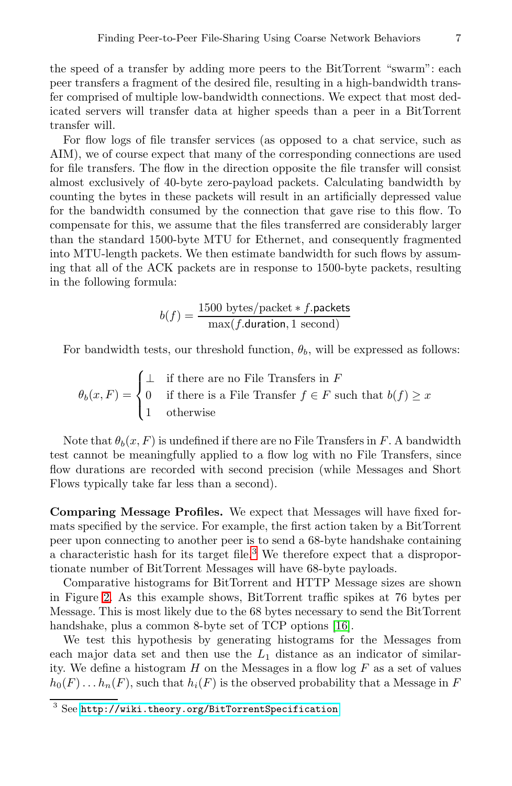the speed of a transfer by adding more peers to the BitTorrent "swarm": each peer transfers a fragment of the desired file, resulting in a high-bandwidth transfer comprised of multiple low-bandwidth connections. We expect that most dedicated servers will transfer data at higher speeds than a peer in a BitTorrent transfer will.

For flow logs of file transfer services (as opposed to a chat service, such as AIM), we of course expect that many of the corresponding connections are used for file transfers. The flow in the direction opposite the file transfer will consist almost exclusively of 40-byte zero-payload packets. Calculating bandwidth by counting the bytes in these packets will result in an artificially depressed value for the bandwidth consumed by the connection that gave rise to this flow. To compensate for this, we assume that the files transferred are considerably larger than the standard 1500-byte MTU for Ethernet, and consequently fragmented into MTU-length packets. We then estimate bandwidth for such flows by assuming that all of the ACK packets are in response to 1500-byte packets, resulting in the following formula:

$$
b(f) = \frac{1500 \text{ bytes/packet} * f.\text{packets}}{\max(f.\text{duration}, 1 \text{ second})}
$$

For bandwidth tests, our threshold function,  $\theta_b$ , will be expressed as follows:

$$
\theta_b(x, F) = \begin{cases} \bot & \text{if there are no File Transfers in } F \\ 0 & \text{if there is a File Transfer } f \in F \text{ such that } b(f) \ge x \\ 1 & \text{otherwise} \end{cases}
$$

Note that  $\theta_b(x, F)$  is undefined if there are no File Transfers in F. A bandwidth test cannot be meaningfully applied to a flow log with no File Transfers, since flow durations are recorded with second precision (while Messages and Short Flows typically take far less than a second).

**Comparing Message Profiles.** We expect that Messages will have fixed formats specified by the service. For example, the first action taken by a BitTorrent peer upon connecting to another peer is to send a 68-byte handshake containing a characteristic hash for its target file.[3](#page-6-0) We therefore expect that a disproportionate number of BitTorrent Messages will have 68-byte payloads.

Comparative histograms for BitTorrent and HTTP Message sizes are shown in Figure [2.](#page-7-0) As this example shows, BitTorrent traffic spikes at 76 bytes per Message. This is most likely due to the 68 bytes necessary to send the BitTorrent handshake, plus a common 8-byte set of TCP options [\[16\]](#page-15-16).

We test this hypothesis by generating histograms for the Messages from each major data set and then use the  $L_1$  distance as an indicator of similarity. We define a histogram  $H$  on the Messages in a flow log  $F$  as a set of values  $h_0(F) \dots h_n(F)$ , such that  $h_i(F)$  is the observed probability that a Message in F

<span id="page-6-0"></span><sup>3</sup> See <http://wiki.theory.org/BitTorrentSpecification>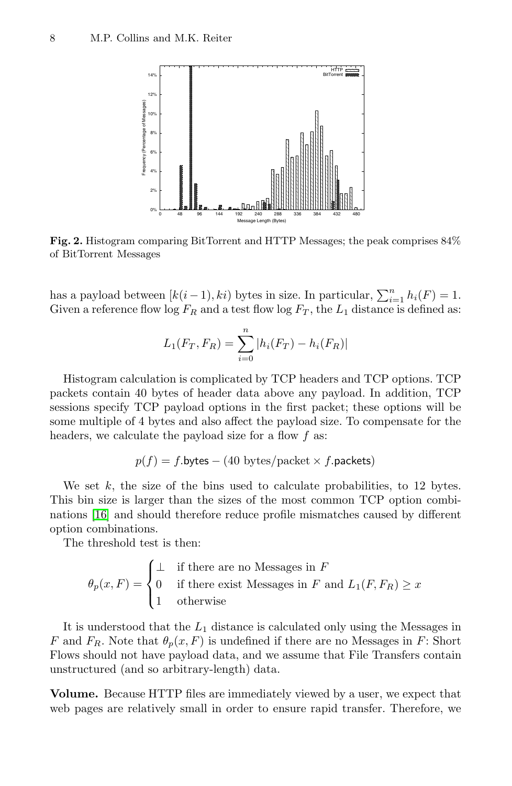

<span id="page-7-0"></span>**Fig. 2.** Histogram comparing BitTorrent and HTTP Messages; the peak comprises 84% of BitTorrent Messages

has a payload between  $[k(i-1), ki)$  bytes in size. In particular,  $\sum_{i=1}^{n} h_i(F) = 1$ . Given a reference flow  $\log F_R$  and a test flow  $\log F_T$ , the  $L_1$  distance is defined as:

$$
L_1(F_T, F_R) = \sum_{i=0}^{n} |h_i(F_T) - h_i(F_R)|
$$

Histogram calculation is complicated by TCP headers and TCP options. TCP packets contain 40 bytes of header data above any payload. In addition, TCP sessions specify TCP payload options in the first packet; these options will be some multiple of 4 bytes and also affect the payload size. To compensate for the headers, we calculate the payload size for a flow  $f$  as:

$$
p(f) = f
$$
.bytes – (40 bytes/packet × *f*.packets)

We set  $k$ , the size of the bins used to calculate probabilities, to 12 bytes. This bin size is larger than the sizes of the most common TCP option combinations [\[16\]](#page-15-16) and should therefore reduce profile mismatches caused by different option combinations.

The threshold test is then:

$$
\theta_p(x, F) = \begin{cases} \bot & \text{if there are no Messages in } F \\ 0 & \text{if there exist Messages in } F \text{ and } L_1(F, F_R) \ge x \\ 1 & \text{otherwise} \end{cases}
$$

It is understood that the  $L_1$  distance is calculated only using the Messages in F and  $F_R$ . Note that  $\theta_p(x, F)$  is undefined if there are no Messages in F: Short Flows should not have payload data, and we assume that File Transfers contain unstructured (and so arbitrary-length) data.

**Volume.** Because HTTP files are immediately viewed by a user, we expect that web pages are relatively small in order to ensure rapid transfer. Therefore, we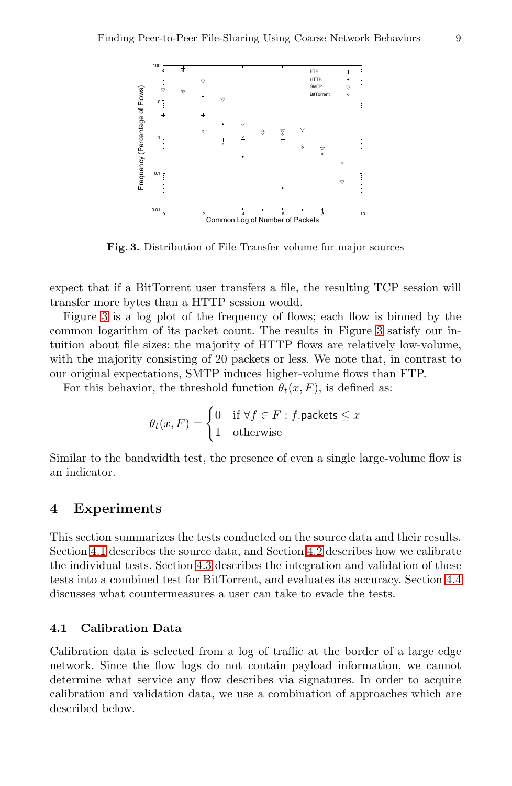

**Fig. 3.** Distribution of File Transfer volume for major sources

<span id="page-8-1"></span>expect that if a BitTorrent user transfers a file, the resulting TCP session will transfer more bytes than a HTTP session would.

Figure [3](#page-8-1) is a log plot of the frequency of flows; each flow is binned by the common logarithm of its packet count. The results in Figure [3](#page-8-1) satisfy our intuition about file sizes: the majority of HTTP flows are relatively low-volume, with the majority consisting of 20 packets or less. We note that, in contrast to our original expectations, SMTP induces higher-volume flows than FTP.

For this behavior, the threshold function  $\theta_t(x, F)$ , is defined as:

$$
\theta_t(x, F) = \begin{cases} 0 & \text{if } \forall f \in F : f.\text{packets} \le x \\ 1 & \text{otherwise} \end{cases}
$$

Similar to the bandwidth test, the presence of even a single large-volume flow is an indicator.

## <span id="page-8-0"></span>**4 Experiments**

This section summarizes the tests conducted on the source data and their results. Section [4.1](#page-8-2) describes the source data, and Section [4.2](#page-10-0) describes how we calibrate the individual tests. Section [4.3](#page-12-0) describes the integration and validation of these tests into a combined test for BitTorrent, and evaluates its accuracy. Section [4.4](#page-13-0) discusses what countermeasures a user can take to evade the tests.

## <span id="page-8-2"></span>**4.1 Calibration Data**

Calibration data is selected from a log of traffic at the border of a large edge network. Since the flow logs do not contain payload information, we cannot determine what service any flow describes via signatures. In order to acquire calibration and validation data, we use a combination of approaches which are described below.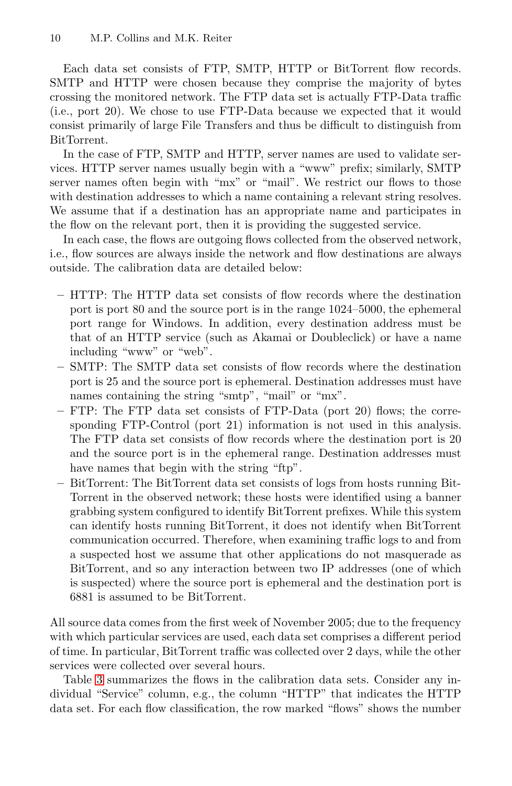Each data set consists of FTP, SMTP, HTTP or BitTorrent flow records. SMTP and HTTP were chosen because they comprise the majority of bytes crossing the monitored network. The FTP data set is actually FTP-Data traffic (i.e., port 20). We chose to use FTP-Data because we expected that it would consist primarily of large File Transfers and thus be difficult to distinguish from BitTorrent.

In the case of FTP, SMTP and HTTP, server names are used to validate services. HTTP server names usually begin with a "www" prefix; similarly, SMTP server names often begin with "mx" or "mail". We restrict our flows to those with destination addresses to which a name containing a relevant string resolves. We assume that if a destination has an appropriate name and participates in the flow on the relevant port, then it is providing the suggested service.

In each case, the flows are outgoing flows collected from the observed network, i.e., flow sources are always inside the network and flow destinations are always outside. The calibration data are detailed below:

- **–** HTTP: The HTTP data set consists of flow records where the destination port is port 80 and the source port is in the range 1024–5000, the ephemeral port range for Windows. In addition, every destination address must be that of an HTTP service (such as Akamai or Doubleclick) or have a name including "www" or "web".
- **–** SMTP: The SMTP data set consists of flow records where the destination port is 25 and the source port is ephemeral. Destination addresses must have names containing the string "smtp", "mail" or "mx".
- **–** FTP: The FTP data set consists of FTP-Data (port 20) flows; the corresponding FTP-Control (port 21) information is not used in this analysis. The FTP data set consists of flow records where the destination port is 20 and the source port is in the ephemeral range. Destination addresses must have names that begin with the string "ftp".
- **–** BitTorrent: The BitTorrent data set consists of logs from hosts running Bit-Torrent in the observed network; these hosts were identified using a banner grabbing system configured to identify BitTorrent prefixes. While this system can identify hosts running BitTorrent, it does not identify when BitTorrent communication occurred. Therefore, when examining traffic logs to and from a suspected host we assume that other applications do not masquerade as BitTorrent, and so any interaction between two IP addresses (one of which is suspected) where the source port is ephemeral and the destination port is 6881 is assumed to be BitTorrent.

All source data comes from the first week of November 2005; due to the frequency with which particular services are used, each data set comprises a different period of time. In particular, BitTorrent traffic was collected over 2 days, while the other services were collected over several hours.

Table [3](#page-10-1) summarizes the flows in the calibration data sets. Consider any individual "Service" column, e.g., the column "HTTP" that indicates the HTTP data set. For each flow classification, the row marked "flows" shows the number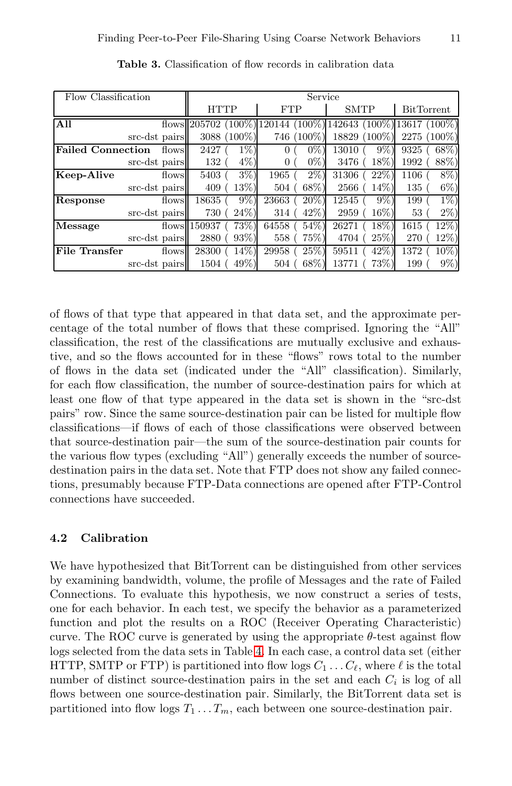<span id="page-10-1"></span>

| Flow Classification      | Service       |       |                |             |            |           |                  |                 |      |                   |
|--------------------------|---------------|-------|----------------|-------------|------------|-----------|------------------|-----------------|------|-------------------|
|                          |               |       | <b>HTTP</b>    |             | <b>FTP</b> |           | <b>SMTP</b>      |                 |      | <b>BitTorrent</b> |
| All                      |               |       | flows $205702$ | 100%        | 20144      |           | $(100\%)$ 142643 | $(100\%)$ 13617 |      | $(100\%)$         |
|                          | src-dst pairs |       |                | 3088 (100%) | 746        | $(100\%)$ | 18829            | $(100\%)$       | 2275 | $(100\%)$         |
| <b>Failed Connection</b> |               | flows | 2427           | $1\%)$      |            | $0\%$     | 13010            | $9\%$           | 9325 | 68\%)             |
|                          | src-dst pairs |       | 132            | $4\%)$      |            | $0\%)$    | 3476             | 18%)            | 1992 | 88%)              |
| Keep-Alive               |               | flows | 5403           | $3\%$ )     | 1965       | $2\%$ )   | 31306            | 22%             | 1106 | 8%)               |
|                          | src-dst pairs |       | 409            | $13\%)$     | 504        | 68\%)     | 2566             | $14\%)$         | 135  | $6\%)$            |
| Response                 |               | flows | 18635          | $9\%)$      | 23663      | $20\%)$   | 12545            | $9\%)$          | 199  | $1\%$ )           |
|                          | src-dst pairs |       | 730            | $24\%)$     | 314        | $42\%)$   | 2959             | $16\%)$         | 53   | $2\%)$            |
| Message                  |               |       | flows $150937$ | 73%)        | 64558      | $54\%)$   | 26271            | $18\%)$         | 1615 | 12%)              |
|                          | src-dst pairs |       | 2880           | $93\%)$     | 558        | 75%)      | 4704             | $25\%)$         | 270  | 12%)              |
| <b>File Transfer</b>     |               | flows | 28300          | $14\%)$     | 29958      | 25%)      | 59511            | $42\%$          | 1372 | 10%)              |
|                          | src-dst pairs |       | 1504           | 49%)        | 504        | $68\%$    | 13771            | 73%             | 199  | 9%)               |

**Table 3.** Classification of flow records in calibration data

of flows of that type that appeared in that data set, and the approximate percentage of the total number of flows that these comprised. Ignoring the "All" classification, the rest of the classifications are mutually exclusive and exhaustive, and so the flows accounted for in these "flows" rows total to the number of flows in the data set (indicated under the "All" classification). Similarly, for each flow classification, the number of source-destination pairs for which at least one flow of that type appeared in the data set is shown in the "src-dst pairs" row. Since the same source-destination pair can be listed for multiple flow classifications—if flows of each of those classifications were observed between that source-destination pair—the sum of the source-destination pair counts for the various flow types (excluding "All") generally exceeds the number of sourcedestination pairs in the data set. Note that FTP does not show any failed connections, presumably because FTP-Data connections are opened after FTP-Control connections have succeeded.

## <span id="page-10-0"></span>**4.2 Calibration**

We have hypothesized that BitTorrent can be distinguished from other services by examining bandwidth, volume, the profile of Messages and the rate of Failed Connections. To evaluate this hypothesis, we now construct a series of tests, one for each behavior. In each test, we specify the behavior as a parameterized function and plot the results on a ROC (Receiver Operating Characteristic) curve. The ROC curve is generated by using the appropriate  $\theta$ -test against flow logs selected from the data sets in Table [4.](#page-13-1) In each case, a control data set (either HTTP, SMTP or FTP) is partitioned into flow logs  $C_1 \ldots C_{\ell}$ , where  $\ell$  is the total number of distinct source-destination pairs in the set and each  $C_i$  is log of all flows between one source-destination pair. Similarly, the BitTorrent data set is partitioned into flow logs  $T_1 \ldots T_m$ , each between one source-destination pair.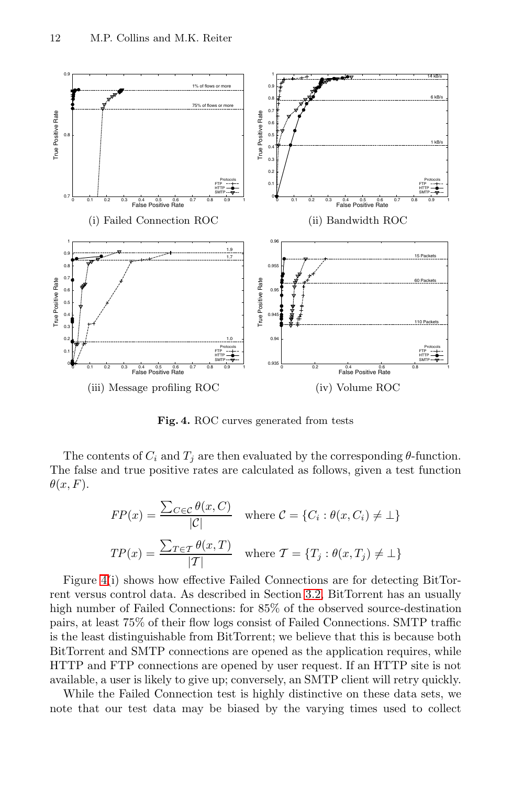

<span id="page-11-0"></span>**Fig. 4.** ROC curves generated from tests

The contents of  $C_i$  and  $T_j$  are then evaluated by the corresponding  $\theta$ -function. The false and true positive rates are calculated as follows, given a test function  $\theta(x, F)$ .

$$
FP(x) = \frac{\sum_{C \in \mathcal{C}} \theta(x, C)}{|\mathcal{C}|} \quad \text{where } \mathcal{C} = \{C_i : \theta(x, C_i) \neq \bot\}
$$

$$
TP(x) = \frac{\sum_{T \in \mathcal{T}} \theta(x, T)}{|\mathcal{T}|} \quad \text{where } \mathcal{T} = \{T_j : \theta(x, T_j) \neq \bot\}
$$

Figure [4\(](#page-11-0)i) shows how effective Failed Connections are for detecting BitTorrent versus control data. As described in Section [3.2,](#page-5-1) BitTorrent has an usually high number of Failed Connections: for 85% of the observed source-destination pairs, at least 75% of their flow logs consist of Failed Connections. SMTP traffic is the least distinguishable from BitTorrent; we believe that this is because both BitTorrent and SMTP connections are opened as the application requires, while HTTP and FTP connections are opened by user request. If an HTTP site is not available, a user is likely to give up; conversely, an SMTP client will retry quickly.

While the Failed Connection test is highly distinctive on these data sets, we note that our test data may be biased by the varying times used to collect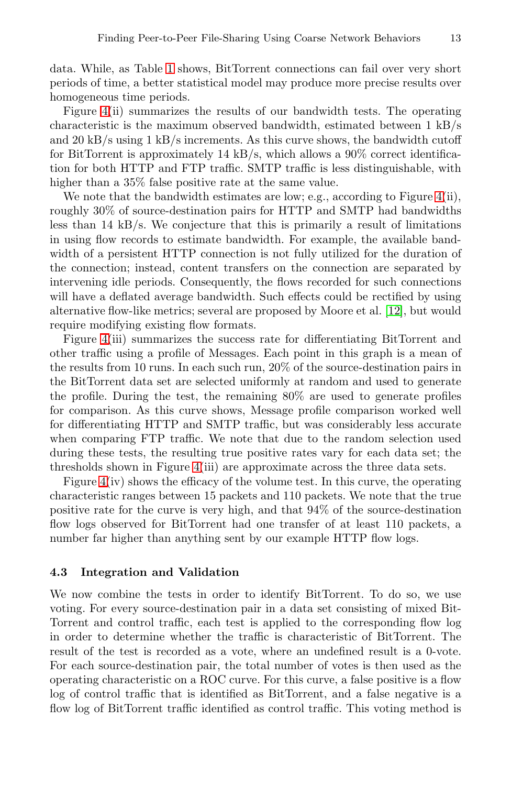data. While, as Table [1](#page-4-1) shows, BitTorrent connections can fail over very short periods of time, a better statistical model may produce more precise results over homogeneous time periods.

Figure [4\(](#page-11-0)ii) summarizes the results of our bandwidth tests. The operating characteristic is the maximum observed bandwidth, estimated between 1 kB/s and 20 kB/s using 1 kB/s increments. As this curve shows, the bandwidth cutoff for BitTorrent is approximately 14 kB/s, which allows a 90% correct identification for both HTTP and FTP traffic. SMTP traffic is less distinguishable, with higher than a 35% false positive rate at the same value.

We note that the bandwidth estimates are low; e.g., according to Figure  $4(ii)$ , roughly 30% of source-destination pairs for HTTP and SMTP had bandwidths less than  $14 \text{ kB/s}$ . We conjecture that this is primarily a result of limitations in using flow records to estimate bandwidth. For example, the available bandwidth of a persistent HTTP connection is not fully utilized for the duration of the connection; instead, content transfers on the connection are separated by intervening idle periods. Consequently, the flows recorded for such connections will have a deflated average bandwidth. Such effects could be rectified by using alternative flow-like metrics; several are proposed by Moore et al. [\[12\]](#page-15-6), but would require modifying existing flow formats.

Figure [4\(](#page-11-0)iii) summarizes the success rate for differentiating BitTorrent and other traffic using a profile of Messages. Each point in this graph is a mean of the results from 10 runs. In each such run, 20% of the source-destination pairs in the BitTorrent data set are selected uniformly at random and used to generate the profile. During the test, the remaining 80% are used to generate profiles for comparison. As this curve shows, Message profile comparison worked well for differentiating HTTP and SMTP traffic, but was considerably less accurate when comparing FTP traffic. We note that due to the random selection used during these tests, the resulting true positive rates vary for each data set; the thresholds shown in Figure [4\(](#page-11-0)iii) are approximate across the three data sets.

Figure [4\(](#page-11-0)iv) shows the efficacy of the volume test. In this curve, the operating characteristic ranges between 15 packets and 110 packets. We note that the true positive rate for the curve is very high, and that 94% of the source-destination flow logs observed for BitTorrent had one transfer of at least 110 packets, a number far higher than anything sent by our example HTTP flow logs.

### <span id="page-12-0"></span>**4.3 Integration and Validation**

We now combine the tests in order to identify BitTorrent. To do so, we use voting. For every source-destination pair in a data set consisting of mixed Bit-Torrent and control traffic, each test is applied to the corresponding flow log in order to determine whether the traffic is characteristic of BitTorrent. The result of the test is recorded as a vote, where an undefined result is a 0-vote. For each source-destination pair, the total number of votes is then used as the operating characteristic on a ROC curve. For this curve, a false positive is a flow log of control traffic that is identified as BitTorrent, and a false negative is a flow log of BitTorrent traffic identified as control traffic. This voting method is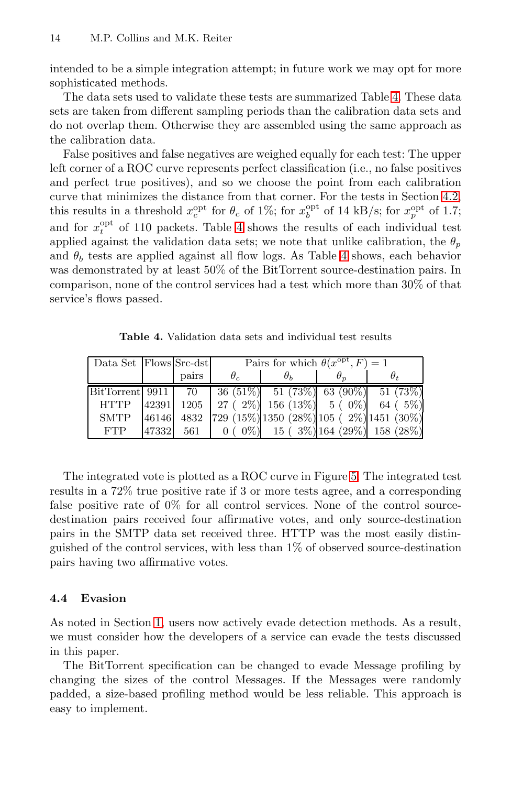intended to be a simple integration attempt; in future work we may opt for more sophisticated methods.

The data sets used to validate these tests are summarized Table [4.](#page-13-1) These data sets are taken from different sampling periods than the calibration data sets and do not overlap them. Otherwise they are assembled using the same approach as the calibration data.

False positives and false negatives are weighed equally for each test: The upper left corner of a ROC curve represents perfect classification (i.e., no false positives and perfect true positives), and so we choose the point from each calibration curve that minimizes the distance from that corner. For the tests in Section [4.2,](#page-10-0) this results in a threshold  $x_c^{\text{opt}}$  for  $\theta_c$  of 1%; for  $x_b^{\text{opt}}$  of 14 kB/s; for  $x_p^{\text{opt}}$  of 1.7; and for  $x_t^{\text{opt}}$  of 110 packets. Table [4](#page-13-1) shows the results of each individual test applied against the validation data sets; we note that unlike calibration, the  $\theta_p$ and  $\theta_b$  tests are applied against all flow logs. As Table [4](#page-13-1) shows, each behavior was demonstrated by at least 50% of the BitTorrent source-destination pairs. In comparison, none of the control services had a test which more than 30% of that service's flows passed.

<span id="page-13-1"></span>

| Data Set Flows Src-dst |       | Pairs for which $\theta(x^{\text{opt}}, F) = 1$ |                                                                                                                        |            |                                                                              |  |  |  |  |
|------------------------|-------|-------------------------------------------------|------------------------------------------------------------------------------------------------------------------------|------------|------------------------------------------------------------------------------|--|--|--|--|
|                        | pairs | $\theta_c$                                      | $\theta_h$                                                                                                             | $\theta_n$ | $\theta_t$                                                                   |  |  |  |  |
|                        |       |                                                 |                                                                                                                        |            | BitTorrent 9911 70 36 (51%) 51 (73%) 63 (90%) 51 (73%)                       |  |  |  |  |
|                        |       |                                                 |                                                                                                                        |            | HTTP $ 42391 $ 1205   27 ( 2%) 156 (13%) 5 ( 0%) 64 ( 5%)                    |  |  |  |  |
| <b>SMTP</b>            |       |                                                 |                                                                                                                        |            | $\left  \frac{46146}{4832} \right $ 729 (15%) 1350 (28%) 105 (2%) 1451 (30%) |  |  |  |  |
| <b>FTP</b>             |       |                                                 | $\begin{bmatrix} 47332 & 561 & 0 & 0 \end{bmatrix}$ $\begin{bmatrix} 0 & 0 \end{bmatrix}$ 15 ( 3%) 164 (29%) 158 (28%) |            |                                                                              |  |  |  |  |

**Table 4.** Validation data sets and individual test results

The integrated vote is plotted as a ROC curve in Figure [5.](#page-14-4) The integrated test results in a 72% true positive rate if 3 or more tests agree, and a corresponding false positive rate of 0% for all control services. None of the control sourcedestination pairs received four affirmative votes, and only source-destination pairs in the SMTP data set received three. HTTP was the most easily distinguished of the control services, with less than 1% of observed source-destination pairs having two affirmative votes.

## <span id="page-13-0"></span>**4.4 Evasion**

As noted in Section [1,](#page-0-1) users now actively evade detection methods. As a result, we must consider how the developers of a service can evade the tests discussed in this paper.

The BitTorrent specification can be changed to evade Message profiling by changing the sizes of the control Messages. If the Messages were randomly padded, a size-based profiling method would be less reliable. This approach is easy to implement.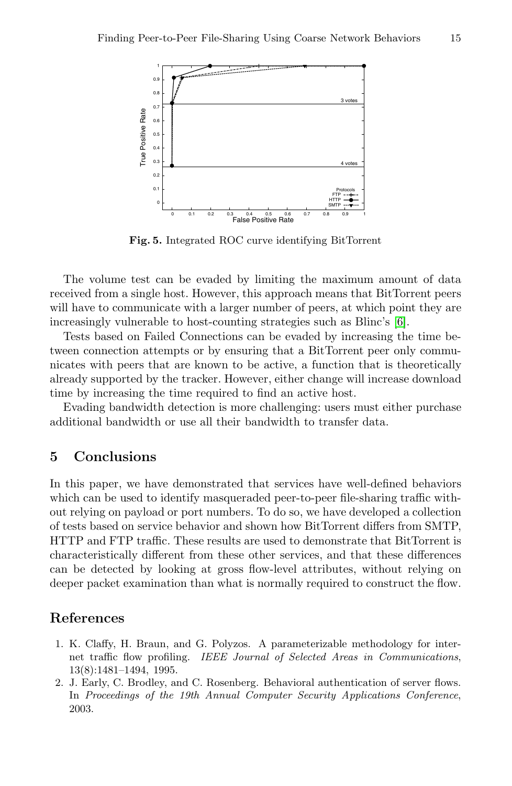

**Fig. 5.** Integrated ROC curve identifying BitTorrent

<span id="page-14-4"></span>The volume test can be evaded by limiting the maximum amount of data received from a single host. However, this approach means that BitTorrent peers will have to communicate with a larger number of peers, at which point they are increasingly vulnerable to host-counting strategies such as Blinc's [\[6\]](#page-15-15).

Tests based on Failed Connections can be evaded by increasing the time between connection attempts or by ensuring that a BitTorrent peer only communicates with peers that are known to be active, a function that is theoretically already supported by the tracker. However, either change will increase download time by increasing the time required to find an active host.

Evading bandwidth detection is more challenging: users must either purchase additional bandwidth or use all their bandwidth to transfer data.

## <span id="page-14-1"></span>**5 Conclusions**

In this paper, we have demonstrated that services have well-defined behaviors which can be used to identify masqueraded peer-to-peer file-sharing traffic without relying on payload or port numbers. To do so, we have developed a collection of tests based on service behavior and shown how BitTorrent differs from SMTP, HTTP and FTP traffic. These results are used to demonstrate that BitTorrent is characteristically different from these other services, and that these differences can be detected by looking at gross flow-level attributes, without relying on deeper packet examination than what is normally required to construct the flow.

## <span id="page-14-3"></span><span id="page-14-0"></span>**References**

- 1. K. Claffy, H. Braun, and G. Polyzos. A parameterizable methodology for internet traffic flow profiling. IEEE Journal of Selected Areas in Communications, 13(8):1481–1494, 1995.
- <span id="page-14-2"></span>2. J. Early, C. Brodley, and C. Rosenberg. Behavioral authentication of server flows. In Proceedings of the 19th Annual Computer Security Applications Conference, 2003.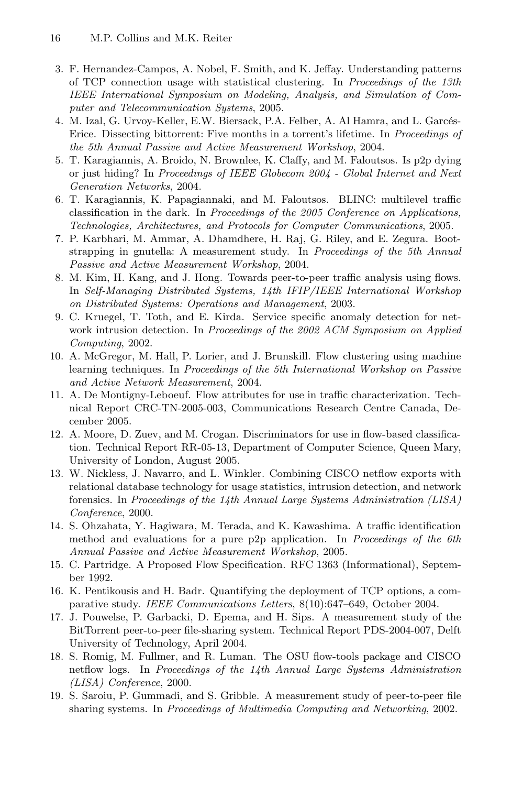- <span id="page-15-3"></span>3. F. Hernandez-Campos, A. Nobel, F. Smith, and K. Jeffay. Understanding patterns of TCP connection usage with statistical clustering. In Proceedings of the 13th IEEE International Symposium on Modeling, Analysis, and Simulation of Computer and Telecommunication Systems, 2005.
- <span id="page-15-10"></span>4. M. Izal, G. Urvoy-Keller, E.W. Biersack, P.A. Felber, A. Al Hamra, and L. Garcés-Erice. Dissecting bittorrent: Five months in a torrent's lifetime. In Proceedings of the 5th Annual Passive and Active Measurement Workshop, 2004.
- <span id="page-15-0"></span>5. T. Karagiannis, A. Broido, N. Brownlee, K. Claffy, and M. Faloutsos. Is p2p dying or just hiding? In Proceedings of IEEE Globecom 2004 - Global Internet and Next Generation Networks, 2004.
- <span id="page-15-15"></span>6. T. Karagiannis, K. Papagiannaki, and M. Faloutsos. BLINC: multilevel traffic classification in the dark. In Proceedings of the 2005 Conference on Applications, Technologies, Architectures, and Protocols for Computer Communications, 2005.
- <span id="page-15-11"></span>7. P. Karbhari, M. Ammar, A. Dhamdhere, H. Raj, G. Riley, and E. Zegura. Bootstrapping in gnutella: A measurement study. In Proceedings of the 5th Annual Passive and Active Measurement Workshop, 2004.
- <span id="page-15-2"></span>8. M. Kim, H. Kang, and J. Hong. Towards peer-to-peer traffic analysis using flows. In Self-Managing Distributed Systems, 14th IFIP/IEEE International Workshop on Distributed Systems: Operations and Management, 2003.
- <span id="page-15-1"></span>9. C. Kruegel, T. Toth, and E. Kirda. Service specific anomaly detection for network intrusion detection. In Proceedings of the 2002 ACM Symposium on Applied Computing, 2002.
- <span id="page-15-4"></span>10. A. McGregor, M. Hall, P. Lorier, and J. Brunskill. Flow clustering using machine learning techniques. In Proceedings of the 5th International Workshop on Passive and Active Network Measurement, 2004.
- <span id="page-15-5"></span>11. A. De Montigny-Leboeuf. Flow attributes for use in traffic characterization. Technical Report CRC-TN-2005-003, Communications Research Centre Canada, December 2005.
- <span id="page-15-6"></span>12. A. Moore, D. Zuev, and M. Crogan. Discriminators for use in flow-based classification. Technical Report RR-05-13, Department of Computer Science, Queen Mary, University of London, August 2005.
- <span id="page-15-8"></span>13. W. Nickless, J. Navarro, and L. Winkler. Combining CISCO netflow exports with relational database technology for usage statistics, intrusion detection, and network forensics. In Proceedings of the 14th Annual Large Systems Administration (LISA) Conference, 2000.
- <span id="page-15-14"></span>14. S. Ohzahata, Y. Hagiwara, M. Terada, and K. Kawashima. A traffic identification method and evaluations for a pure p2p application. In Proceedings of the 6th Annual Passive and Active Measurement Workshop, 2005.
- <span id="page-15-9"></span>15. C. Partridge. A Proposed Flow Specification. RFC 1363 (Informational), September 1992.
- <span id="page-15-16"></span>16. K. Pentikousis and H. Badr. Quantifying the deployment of TCP options, a comparative study. IEEE Communications Letters, 8(10):647–649, October 2004.
- <span id="page-15-13"></span>17. J. Pouwelse, P. Garbacki, D. Epema, and H. Sips. A measurement study of the BitTorrent peer-to-peer file-sharing system. Technical Report PDS-2004-007, Delft University of Technology, April 2004.
- <span id="page-15-7"></span>18. S. Romig, M. Fullmer, and R. Luman. The OSU flow-tools package and CISCO netflow logs. In Proceedings of the 14th Annual Large Systems Administration (LISA) Conference, 2000.
- <span id="page-15-12"></span>19. S. Saroiu, P. Gummadi, and S. Gribble. A measurement study of peer-to-peer file sharing systems. In Proceedings of Multimedia Computing and Networking, 2002.